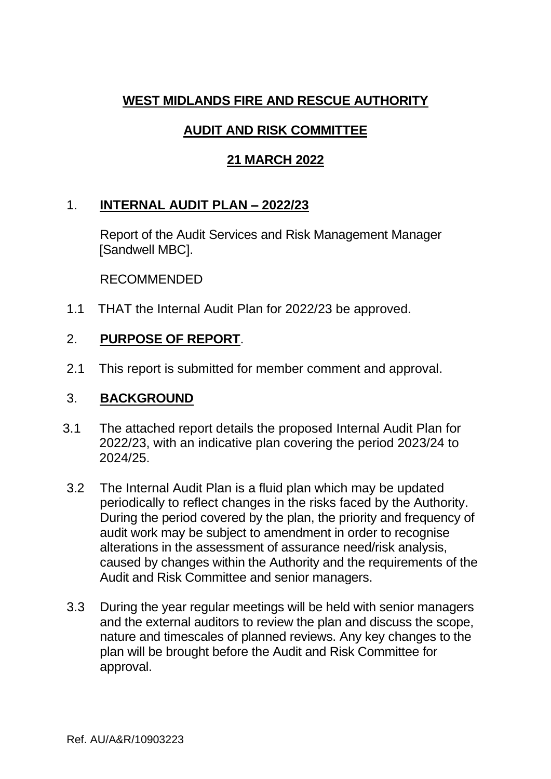## **WEST MIDLANDS FIRE AND RESCUE AUTHORITY**

# **AUDIT AND RISK COMMITTEE**

### **21 MARCH 2022**

### 1. **INTERNAL AUDIT PLAN – 2022/23**

Report of the Audit Services and Risk Management Manager [Sandwell MBC].

RECOMMENDED

1.1 THAT the Internal Audit Plan for 2022/23 be approved.

## 2. **PURPOSE OF REPORT**.

2.1 This report is submitted for member comment and approval.

#### 3. **BACKGROUND**

- 3.1 The attached report details the proposed Internal Audit Plan for 2022/23, with an indicative plan covering the period 2023/24 to 2024/25.
- 3.2 The Internal Audit Plan is a fluid plan which may be updated periodically to reflect changes in the risks faced by the Authority. During the period covered by the plan, the priority and frequency of audit work may be subject to amendment in order to recognise alterations in the assessment of assurance need/risk analysis, caused by changes within the Authority and the requirements of the Audit and Risk Committee and senior managers.
- 3.3 During the year regular meetings will be held with senior managers and the external auditors to review the plan and discuss the scope, nature and timescales of planned reviews. Any key changes to the plan will be brought before the Audit and Risk Committee for approval.